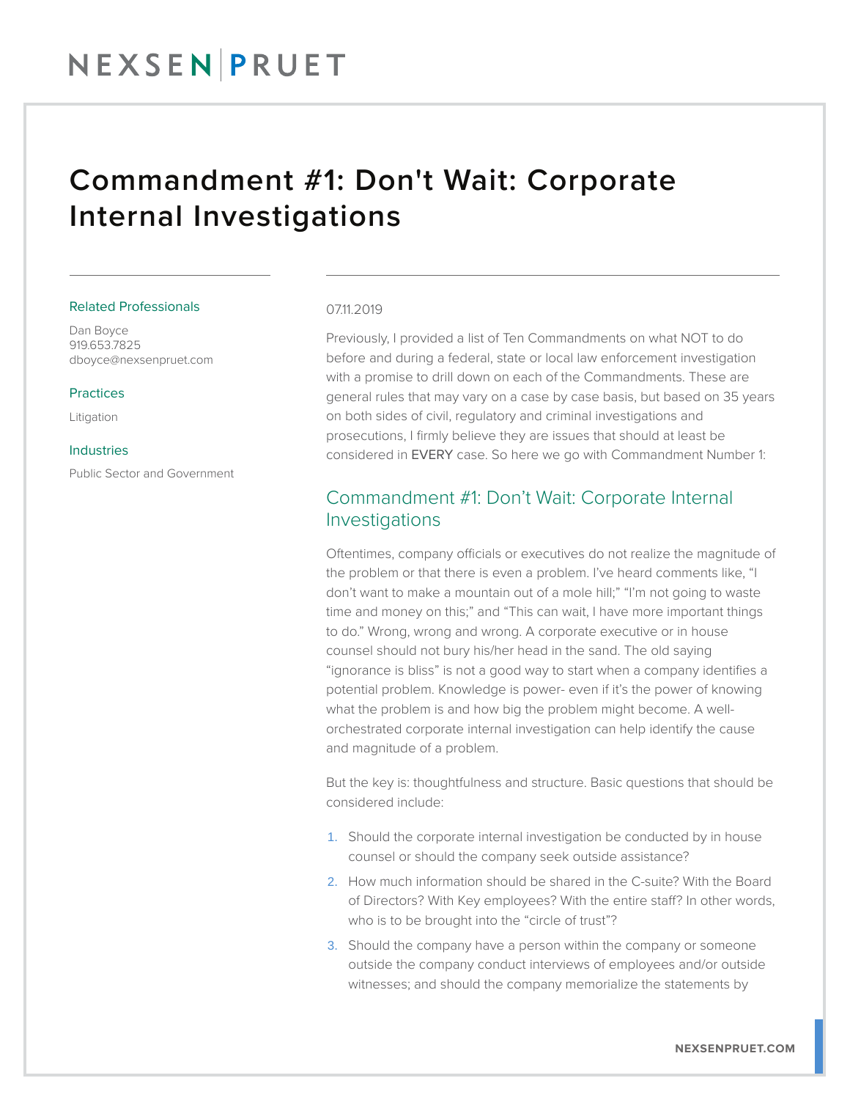## Commandment #1: Don't Wait: Corporate Internal Investigations

#### Related Professionals

Dan Boyce 919.653.7825 dboyce@nexsenpruet.com

#### Practices

Litigation

#### Industries

Public Sector and Government

#### 07.11.2019

Previously, I provided a list of Ten Commandments on what NOT to do before and during a federal, state or local law enforcement investigation with a promise to drill down on each of the Commandments. These are general rules that may vary on a case by case basis, but based on 35 years on both sides of civil, regulatory and criminal investigations and prosecutions, I firmly believe they are issues that should at least be considered in EVERY case. So here we go with Commandment Number 1:

### Commandment #1: Don't Wait: Corporate Internal Investigations

Oftentimes, company officials or executives do not realize the magnitude of the problem or that there is even a problem. I've heard comments like, "I don't want to make a mountain out of a mole hill;" "I'm not going to waste time and money on this;" and "This can wait, I have more important things to do." Wrong, wrong and wrong. A corporate executive or in house counsel should not bury his/her head in the sand. The old saying "ignorance is bliss" is not a good way to start when a company identifies a potential problem. Knowledge is power- even if it's the power of knowing what the problem is and how big the problem might become. A wellorchestrated corporate internal investigation can help identify the cause and magnitude of a problem.

But the key is: thoughtfulness and structure. Basic questions that should be considered include:

- 1. Should the corporate internal investigation be conducted by in house counsel or should the company seek outside assistance?
- 2. How much information should be shared in the C-suite? With the Board of Directors? With Key employees? With the entire staff? In other words, who is to be brought into the "circle of trust"?
- 3. Should the company have a person within the company or someone outside the company conduct interviews of employees and/or outside witnesses; and should the company memorialize the statements by